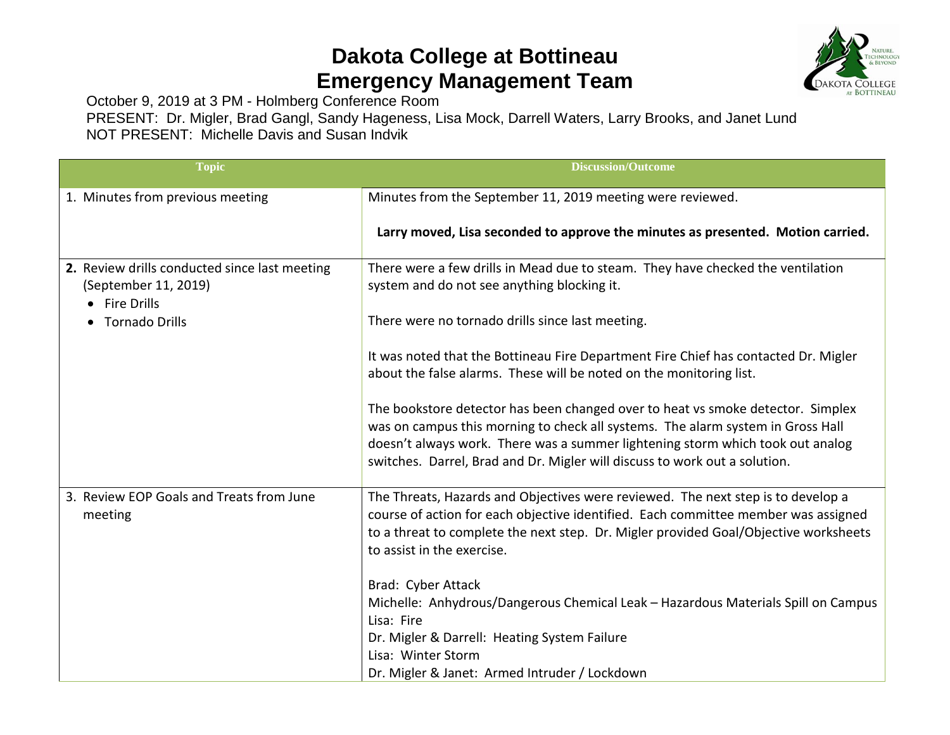## **Dakota College at Bottineau Emergency Management Team**



October 9, 2019 at 3 PM - Holmberg Conference Room

PRESENT: Dr. Migler, Brad Gangl, Sandy Hageness, Lisa Mock, Darrell Waters, Larry Brooks, and Janet Lund NOT PRESENT: Michelle Davis and Susan Indvik

| <b>Topic</b>                                                                           | <b>Discussion/Outcome</b>                                                                                                                                                                                                                                                                                                          |
|----------------------------------------------------------------------------------------|------------------------------------------------------------------------------------------------------------------------------------------------------------------------------------------------------------------------------------------------------------------------------------------------------------------------------------|
| 1. Minutes from previous meeting                                                       | Minutes from the September 11, 2019 meeting were reviewed.                                                                                                                                                                                                                                                                         |
|                                                                                        | Larry moved, Lisa seconded to approve the minutes as presented. Motion carried.                                                                                                                                                                                                                                                    |
| 2. Review drills conducted since last meeting<br>(September 11, 2019)<br>• Fire Drills | There were a few drills in Mead due to steam. They have checked the ventilation<br>system and do not see anything blocking it.                                                                                                                                                                                                     |
| <b>Tornado Drills</b>                                                                  | There were no tornado drills since last meeting.                                                                                                                                                                                                                                                                                   |
|                                                                                        | It was noted that the Bottineau Fire Department Fire Chief has contacted Dr. Migler<br>about the false alarms. These will be noted on the monitoring list.                                                                                                                                                                         |
|                                                                                        | The bookstore detector has been changed over to heat vs smoke detector. Simplex<br>was on campus this morning to check all systems. The alarm system in Gross Hall<br>doesn't always work. There was a summer lightening storm which took out analog<br>switches. Darrel, Brad and Dr. Migler will discuss to work out a solution. |
| 3. Review EOP Goals and Treats from June<br>meeting                                    | The Threats, Hazards and Objectives were reviewed. The next step is to develop a<br>course of action for each objective identified. Each committee member was assigned<br>to a threat to complete the next step. Dr. Migler provided Goal/Objective worksheets<br>to assist in the exercise.                                       |
|                                                                                        | Brad: Cyber Attack<br>Michelle: Anhydrous/Dangerous Chemical Leak - Hazardous Materials Spill on Campus<br>Lisa: Fire<br>Dr. Migler & Darrell: Heating System Failure                                                                                                                                                              |
|                                                                                        | Lisa: Winter Storm<br>Dr. Migler & Janet: Armed Intruder / Lockdown                                                                                                                                                                                                                                                                |